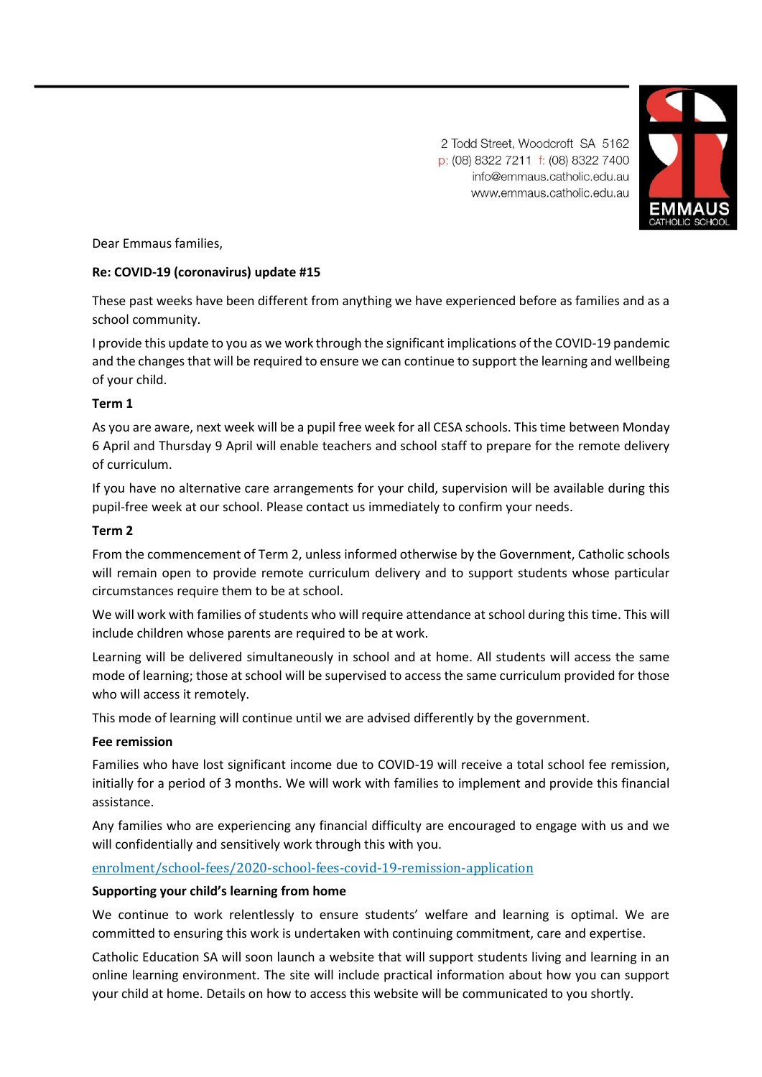2 Todd Street, Woodcroft SA 5162 p: (08) 8322 7211 f: (08) 8322 7400 info@emmaus.catholic.edu.au www.emmaus.catholic.edu.au



Dear Emmaus families,

# **Re: COVID-19 (coronavirus) update #15**

These past weeks have been different from anything we have experienced before as families and as a school community.

I provide this update to you as we work through the significant implications of the COVID-19 pandemic and the changes that will be required to ensure we can continue to support the learning and wellbeing of your child.

### **Term 1**

As you are aware, next week will be a pupil free week for all CESA schools. This time between Monday 6 April and Thursday 9 April will enable teachers and school staff to prepare for the remote delivery of curriculum.

If you have no alternative care arrangements for your child, supervision will be available during this pupil-free week at our school. Please contact us immediately to confirm your needs.

### **Term 2**

From the commencement of Term 2, unless informed otherwise by the Government, Catholic schools will remain open to provide remote curriculum delivery and to support students whose particular circumstances require them to be at school.

We will work with families of students who will require attendance at school during this time. This will include children whose parents are required to be at work.

Learning will be delivered simultaneously in school and at home. All students will access the same mode of learning; those at school will be supervised to access the same curriculum provided for those who will access it remotely.

This mode of learning will continue until we are advised differently by the government.

### **Fee remission**

Families who have lost significant income due to COVID-19 will receive a total school fee remission, initially for a period of 3 months. We will work with families to implement and provide this financial assistance.

Any families who are experiencing any financial difficulty are encouraged to engage with us and we will confidentially and sensitively work through this with you.

# [enrolment/school-fees/2020-school-fees-covid-19-remission-application](https://www.emmaus.catholic.edu.au/enrolment/school-fees/2020-school-fees-covid-19-remission-application)

# **Supporting your child's learning from home**

We continue to work relentlessly to ensure students' welfare and learning is optimal. We are committed to ensuring this work is undertaken with continuing commitment, care and expertise.

Catholic Education SA will soon launch a website that will support students living and learning in an online learning environment. The site will include practical information about how you can support your child at home. Details on how to access this website will be communicated to you shortly.